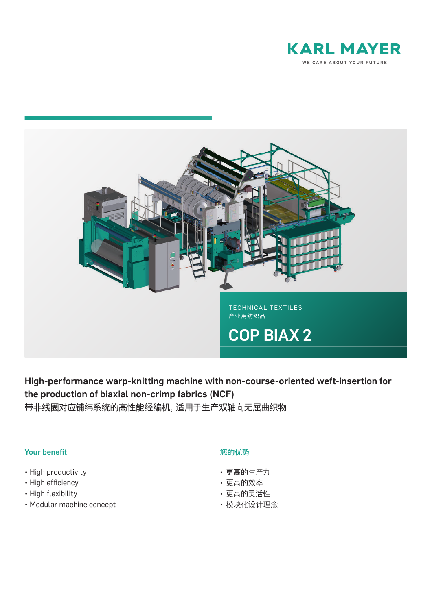



High-performance warp-knitting machine with non-course-oriented weft-insertion for the production of biaxial non-crimp fabrics (NCF) 带非线圈对应铺纬系统的高性能经编机,适用于生产双轴向无屈曲织物

## Your benefit

- High productivity
- High efficiency
- High flexibility
- Modular machine concept

## 您的优势

- 更高的生产力
- 更高的效率
- 更高的灵活性
- 模块化设计理念